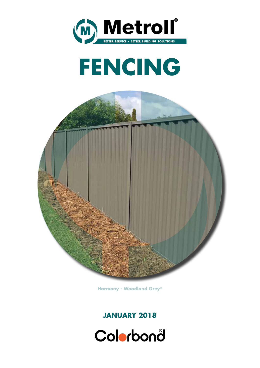





**Harmony - Woodland Grey®**

### **JANUARY 2018**

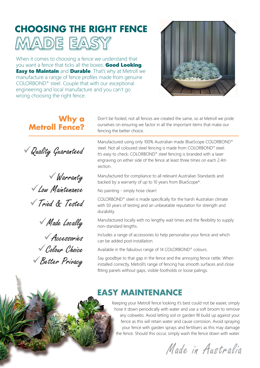# **CHOOSING THE RIGHT FENCE**



When it comes to choosing a fence we understand that you want a fence that ticks all the boxes: **Good Looking**, **Easy to Maintain** and **Durable**. That's why at Metroll we manufacture a range of fence profiles made from genuine COLORBOND® steel. Couple that with our exceptional engineering and local manufacture and you can't go wrong choosing the right fence.



#### Don't be fooled, not all fences are created the same, so at Metroll we pride ourselves on ensuring we factor in all the important items that make our fencing the better choice. Manufactured using only 100% Australian made BlueScope COLORBOND® steel. Not all coloured steel fencing is made from COLORBOND® steel. It's easy to check; COLORBOND® steel fencing is branded with a laser engraving on either side of the fence at least three times on each 2.4m section. Manufactured for compliance to all relevant Australian Standards and backed by a warranty of up to 10 years from BlueScope\*. No painting - simply hose clean! COLORBOND® steel is made specifically for the harsh Australian climate with 50 years of testing and an unbeatable reputation for strength and durability. Manufactured locally with no lengthy wait times and the flexibility to supply non-standard lengths. Includes a range of accessories to help personalise your fence and which can be added post-installation. Available in the fabulous range of 14 COLORBOND® colours. Say goodbye to that gap in the fence and the annoying fence rattle. When installed correctly, Metroll's range of fencing has smooth surfaces and close fitting panels without gaps, visible footholds or loose palings. Quality Guaranteed Warranty Low Maintenance Tried & Tested Made Locally Accessories Colour Choice Better Privacy **Why a Metroll Fence?** Keeping your Metroll fence looking it's best could not be easier, simply **EASY MAINTENANCE**

hose it down periodically with water and use a soft broom to remove any cobwebs. Avoid letting soil or garden fill build up against your fence as this will retain water and cause corrosion. Avoid spraying your fence with garden sprays and fertilisers as this may damage the fence. Should this occur, simply wash the fence down with water.

Made in Australia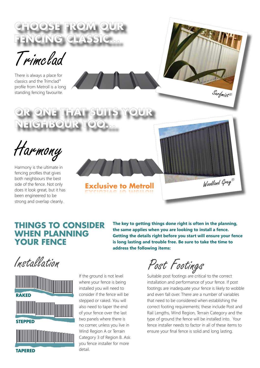

Trimclad

There is always a place for classics and the Trimclad® profile from Metroll is a long standing fencing favourite.

EIGHBOUR TO



Harmony is the ultimate in fencing profiles that gives both neighbours the best side of the fence. Not only does it look great, but it has been engineered to be strong and overlap cleanly.

**Exclusive to Metroll**

### **THINGS TO CONSIDER WHEN PLANNING YOUR FENCE**

**The key to getting things done right is often in the planning, the same applies when you are looking to install a fence. Getting the details right before you start will ensure your fence is long lasting and trouble free. Be sure to take the time to address the following items:**

Installation



If the ground is not level where your fence is being installed you will need to consider if the fence will be stepped or raked. You will also need to taper the end of your fence over the last two panels where there is no corner, unless you live in Wind Region A or Terrain Category 3 of Region B. Ask you fence installer for more detail.

Post Footings

Suitable post footings are critical to the correct installation and performance of your fence. If post footings are inadequate your fence is likely to wobble and even fall over. There are a number of variables that need to be considered when establishing the correct footing requirements; these include Post and Rail Lengths, Wind Region, Terrain Category and the type of ground the fence will be installed into. Your fence installer needs to factor in all of these items to ensure your final fence is solid and long lasting.

Woodland Grey®

Surfmist®